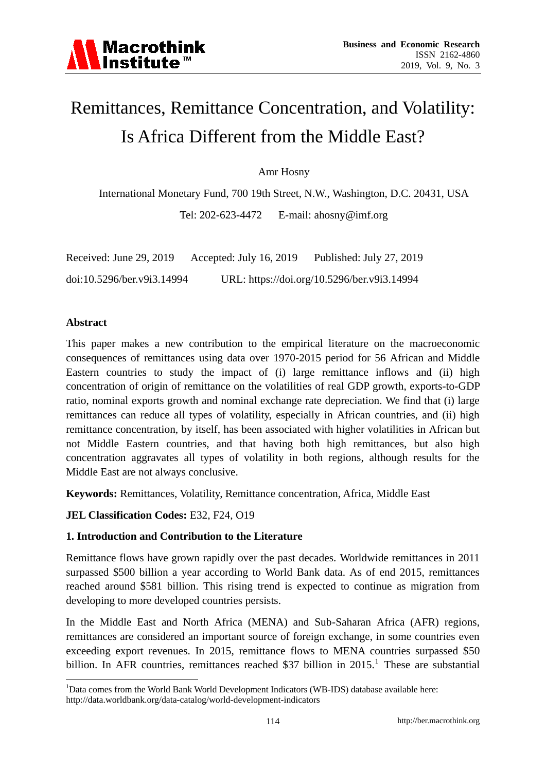

# Remittances, Remittance Concentration, and Volatility: Is Africa Different from the Middle East?

Amr Hosny

International Monetary Fund, 700 19th Street, N.W., Washington, D.C. 20431, USA

Tel: 202-623-4472 E-mail: ahosny@imf.org

| Received: June 29, 2019    | Accepted: July 16, 2019 | Published: July 27, 2019                    |
|----------------------------|-------------------------|---------------------------------------------|
| doi:10.5296/ber.v9i3.14994 |                         | URL: https://doi.org/10.5296/ber.v9i3.14994 |

#### **Abstract**

<u>.</u>

This paper makes a new contribution to the empirical literature on the macroeconomic consequences of remittances using data over 1970-2015 period for 56 African and Middle Eastern countries to study the impact of (i) large remittance inflows and (ii) high concentration of origin of remittance on the volatilities of real GDP growth, exports-to-GDP ratio, nominal exports growth and nominal exchange rate depreciation. We find that (i) large remittances can reduce all types of volatility, especially in African countries, and (ii) high remittance concentration, by itself, has been associated with higher volatilities in African but not Middle Eastern countries, and that having both high remittances, but also high concentration aggravates all types of volatility in both regions, although results for the Middle East are not always conclusive.

**Keywords:** Remittances, Volatility, Remittance concentration, Africa, Middle East

#### **JEL Classification Codes:** E32, F24, O19

#### **1. Introduction and Contribution to the Literature**

Remittance flows have grown rapidly over the past decades. Worldwide remittances in 2011 surpassed \$500 billion a year according to World Bank data. As of end 2015, remittances reached around \$581 billion. This rising trend is expected to continue as migration from developing to more developed countries persists.

In the Middle East and North Africa (MENA) and Sub-Saharan Africa (AFR) regions, remittances are considered an important source of foreign exchange, in some countries even exceeding export revenues. In 2015, remittance flows to MENA countries surpassed \$50 billion. In AFR countries, remittances reached \$37 billion in  $2015$ <sup>1</sup>. These are substantial

<sup>&</sup>lt;sup>1</sup>Data comes from the World Bank World Development Indicators (WB-IDS) database available here: http://data.worldbank.org/data-catalog/world-development-indicators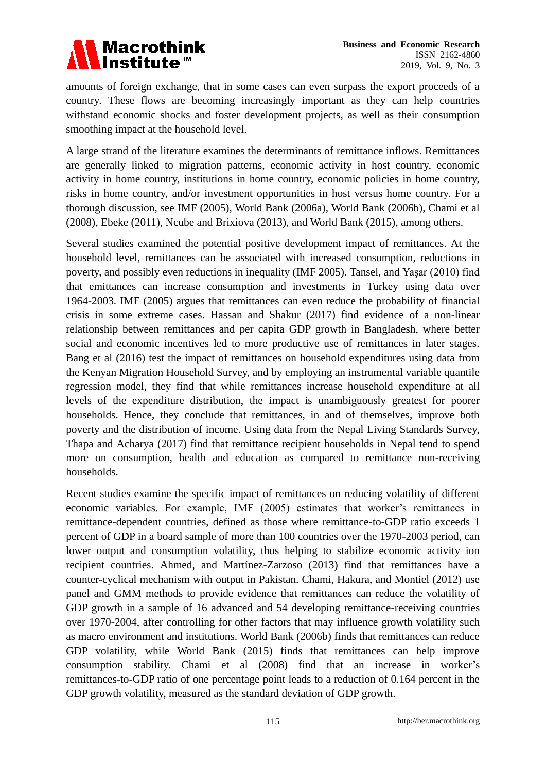

amounts of foreign exchange, that in some cases can even surpass the export proceeds of a country. These flows are becoming increasingly important as they can help countries withstand economic shocks and foster development projects, as well as their consumption smoothing impact at the household level.

A large strand of the literature examines the determinants of remittance inflows. Remittances are generally linked to migration patterns, economic activity in host country, economic activity in home country, institutions in home country, economic policies in home country, risks in home country, and/or investment opportunities in host versus home country. For a thorough discussion, see IMF (2005), World Bank (2006a), World Bank (2006b), Chami et al (2008), Ebeke (2011), Ncube and Brixiova (2013), and World Bank (2015), among others.

Several studies examined the potential positive development impact of remittances. At the household level, remittances can be associated with increased consumption, reductions in poverty, and possibly even reductions in inequality (IMF 2005). Tansel, and Yaşar (2010) find that emittances can increase consumption and investments in Turkey using data over 1964-2003. IMF (2005) argues that remittances can even reduce the probability of financial crisis in some extreme cases. Hassan and Shakur (2017) find evidence of a non-linear relationship between remittances and per capita GDP growth in Bangladesh, where better social and economic incentives led to more productive use of remittances in later stages. Bang et al (2016) test the impact of remittances on household expenditures using data from the Kenyan Migration Household Survey, and by employing an instrumental variable quantile regression model, they find that while remittances increase household expenditure at all levels of the expenditure distribution, the impact is unambiguously greatest for poorer households. Hence, they conclude that remittances, in and of themselves, improve both poverty and the distribution of income. Using data from the Nepal Living Standards Survey, Thapa and Acharya (2017) find that remittance recipient households in Nepal tend to spend more on consumption, health and education as compared to remittance non-receiving households.

Recent studies examine the specific impact of remittances on reducing volatility of different economic variables. For example, IMF (2005) estimates that worker's remittances in remittance-dependent countries, defined as those where remittance-to-GDP ratio exceeds 1 percent of GDP in a board sample of more than 100 countries over the 1970-2003 period, can lower output and consumption volatility, thus helping to stabilize economic activity ion recipient countries. Ahmed, and Mart nez-Zarzoso (2013) find that remittances have a counter-cyclical mechanism with output in Pakistan. Chami, Hakura, and Montiel (2012) use panel and GMM methods to provide evidence that remittances can reduce the volatility of GDP growth in a sample of 16 advanced and 54 developing remittance-receiving countries over 1970-2004, after controlling for other factors that may influence growth volatility such as macro environment and institutions. World Bank (2006b) finds that remittances can reduce GDP volatility, while World Bank (2015) finds that remittances can help improve consumption stability. Chami et al (2008) find that an increase in worker's remittances-to-GDP ratio of one percentage point leads to a reduction of 0.164 percent in the GDP growth volatility, measured as the standard deviation of GDP growth.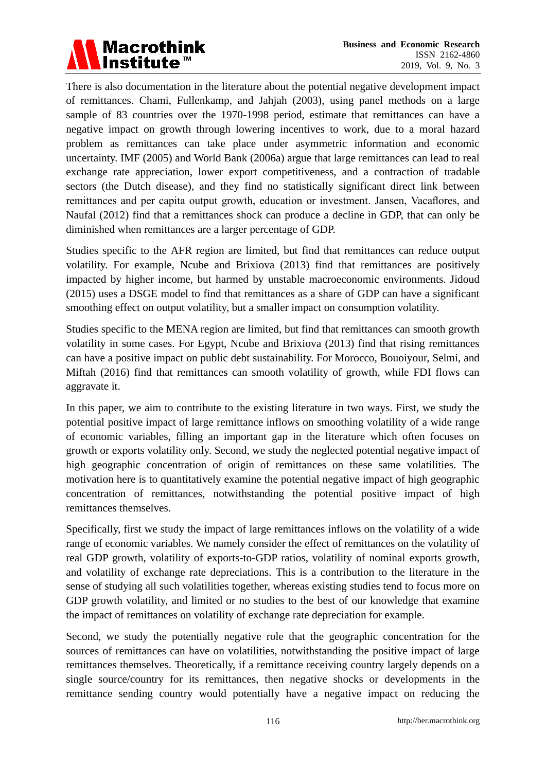

There is also documentation in the literature about the potential negative development impact of remittances. Chami, Fullenkamp, and Jahjah (2003), using panel methods on a large sample of 83 countries over the 1970-1998 period, estimate that remittances can have a negative impact on growth through lowering incentives to work, due to a moral hazard problem as remittances can take place under asymmetric information and economic uncertainty. IMF (2005) and World Bank (2006a) argue that large remittances can lead to real exchange rate appreciation, lower export competitiveness, and a contraction of tradable sectors (the Dutch disease), and they find no statistically significant direct link between remittances and per capita output growth, education or investment. Jansen, Vacaflores, and Naufal (2012) find that a remittances shock can produce a decline in GDP, that can only be diminished when remittances are a larger percentage of GDP.

Studies specific to the AFR region are limited, but find that remittances can reduce output volatility. For example, Ncube and Brixiova (2013) find that remittances are positively impacted by higher income, but harmed by unstable macroeconomic environments. Jidoud (2015) uses a DSGE model to find that remittances as a share of GDP can have a significant smoothing effect on output volatility, but a smaller impact on consumption volatility.

Studies specific to the MENA region are limited, but find that remittances can smooth growth volatility in some cases. For Egypt, Ncube and Brixiova (2013) find that rising remittances can have a positive impact on public debt sustainability. For Morocco, Bouoiyour, Selmi, and Miftah (2016) find that remittances can smooth volatility of growth, while FDI flows can aggravate it.

In this paper, we aim to contribute to the existing literature in two ways. First, we study the potential positive impact of large remittance inflows on smoothing volatility of a wide range of economic variables, filling an important gap in the literature which often focuses on growth or exports volatility only. Second, we study the neglected potential negative impact of high geographic concentration of origin of remittances on these same volatilities. The motivation here is to quantitatively examine the potential negative impact of high geographic concentration of remittances, notwithstanding the potential positive impact of high remittances themselves.

Specifically, first we study the impact of large remittances inflows on the volatility of a wide range of economic variables. We namely consider the effect of remittances on the volatility of real GDP growth, volatility of exports-to-GDP ratios, volatility of nominal exports growth, and volatility of exchange rate depreciations. This is a contribution to the literature in the sense of studying all such volatilities together, whereas existing studies tend to focus more on GDP growth volatility, and limited or no studies to the best of our knowledge that examine the impact of remittances on volatility of exchange rate depreciation for example.

Second, we study the potentially negative role that the geographic concentration for the sources of remittances can have on volatilities, notwithstanding the positive impact of large remittances themselves. Theoretically, if a remittance receiving country largely depends on a single source/country for its remittances, then negative shocks or developments in the remittance sending country would potentially have a negative impact on reducing the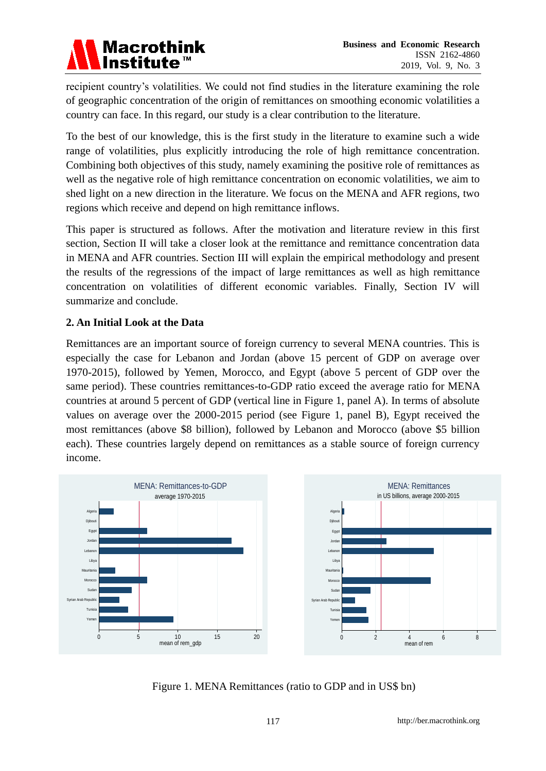# **Macrothink** Institute<sup>™</sup>

recipient country's volatilities. We could not find studies in the literature examining the role of geographic concentration of the origin of remittances on smoothing economic volatilities a country can face. In this regard, our study is a clear contribution to the literature.

To the best of our knowledge, this is the first study in the literature to examine such a wide range of volatilities, plus explicitly introducing the role of high remittance concentration. Combining both objectives of this study, namely examining the positive role of remittances as well as the negative role of high remittance concentration on economic volatilities, we aim to shed light on a new direction in the literature. We focus on the MENA and AFR regions, two regions which receive and depend on high remittance inflows.

This paper is structured as follows. After the motivation and literature review in this first section, Section II will take a closer look at the remittance and remittance concentration data in MENA and AFR countries. Section III will explain the empirical methodology and present the results of the regressions of the impact of large remittances as well as high remittance concentration on volatilities of different economic variables. Finally, Section IV will summarize and conclude.

# **2. An Initial Look at the Data**

Remittances are an important source of foreign currency to several MENA countries. This is especially the case for Lebanon and Jordan (above 15 percent of GDP on average over 1970-2015), followed by Yemen, Morocco, and Egypt (above 5 percent of GDP over the same period). These countries remittances-to-GDP ratio exceed the average ratio for MENA countries at around 5 percent of GDP (vertical line in Figure 1, panel A). In terms of absolute values on average over the 2000-2015 period (see Figure 1, panel B), Egypt received the most remittances (above \$8 billion), followed by Lebanon and Morocco (above \$5 billion each). These countries largely depend on remittances as a stable source of foreign currency income.



Figure 1. MENA Remittances (ratio to GDP and in US\$ bn)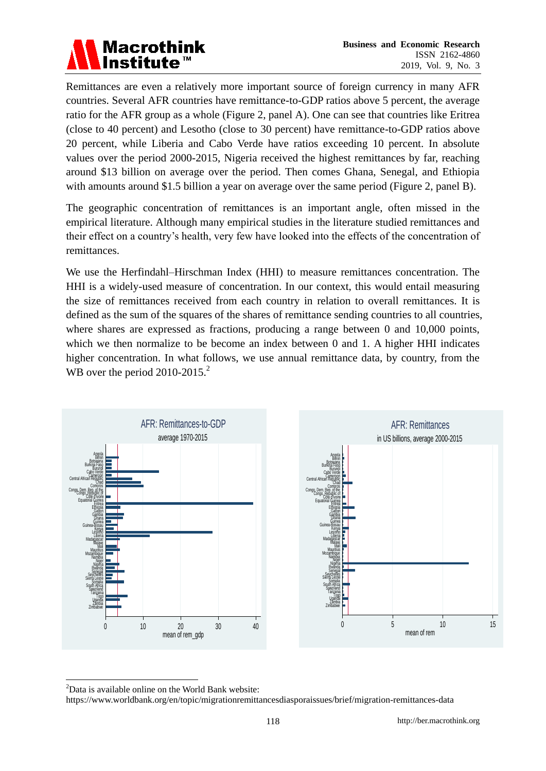

Remittances are even a relatively more important source of foreign currency in many AFR countries. Several AFR countries have remittance-to-GDP ratios above 5 percent, the average ratio for the AFR group as a whole (Figure 2, panel A). One can see that countries like Eritrea (close to 40 percent) and Lesotho (close to 30 percent) have remittance-to-GDP ratios above 20 percent, while Liberia and Cabo Verde have ratios exceeding 10 percent. In absolute values over the period 2000-2015, Nigeria received the highest remittances by far, reaching around \$13 billion on average over the period. Then comes Ghana, Senegal, and Ethiopia with amounts around \$1.5 billion a year on average over the same period (Figure 2, panel B).

The geographic concentration of remittances is an important angle, often missed in the empirical literature. Although many empirical studies in the literature studied remittances and their effect on a country's health, very few have looked into the effects of the concentration of remittances.

We use the Herfindahl–Hirschman Index (HHI) to measure remittances concentration. The HHI is a widely-used measure of concentration. In our context, this would entail measuring the size of remittances received from each country in relation to overall remittances. It is defined as the sum of the squares of the shares of remittance sending countries to all countries, where shares are expressed as fractions, producing a range between 0 and 10,000 points, which we then normalize to be become an index between 0 and 1. A higher HHI indicates higher concentration. In what follows, we use annual remittance data, by country, from the WB over the period  $2010-2015.<sup>2</sup>$ 



<sup>2</sup>Data is available online on the World Bank website:

<u>.</u>

https://www.worldbank.org/en/topic/migrationremittancesdiasporaissues/brief/migration-remittances-data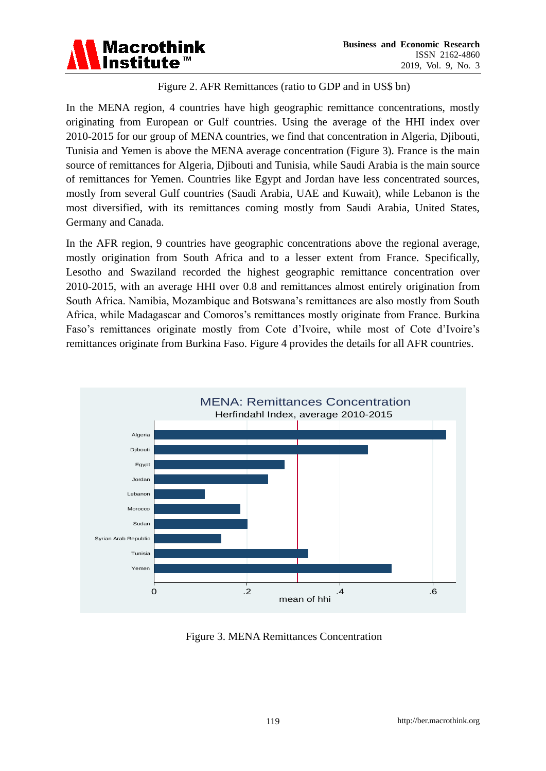

## Figure 2. AFR Remittances (ratio to GDP and in US\$ bn)

In the MENA region, 4 countries have high geographic remittance concentrations, mostly originating from European or Gulf countries. Using the average of the HHI index over 2010-2015 for our group of MENA countries, we find that concentration in Algeria, Djibouti, Tunisia and Yemen is above the MENA average concentration (Figure 3). France is the main source of remittances for Algeria, Djibouti and Tunisia, while Saudi Arabia is the main source of remittances for Yemen. Countries like Egypt and Jordan have less concentrated sources, mostly from several Gulf countries (Saudi Arabia, UAE and Kuwait), while Lebanon is the most diversified, with its remittances coming mostly from Saudi Arabia, United States, Germany and Canada.

In the AFR region, 9 countries have geographic concentrations above the regional average, mostly origination from South Africa and to a lesser extent from France. Specifically, Lesotho and Swaziland recorded the highest geographic remittance concentration over 2010-2015, with an average HHI over 0.8 and remittances almost entirely origination from South Africa. Namibia, Mozambique and Botswana's remittances are also mostly from South Africa, while Madagascar and Comoros's remittances mostly originate from France. Burkina Faso's remittances originate mostly from Cote d'Ivoire, while most of Cote d'Ivoire's remittances originate from Burkina Faso. Figure 4 provides the details for all AFR countries.



Figure 3. MENA Remittances Concentration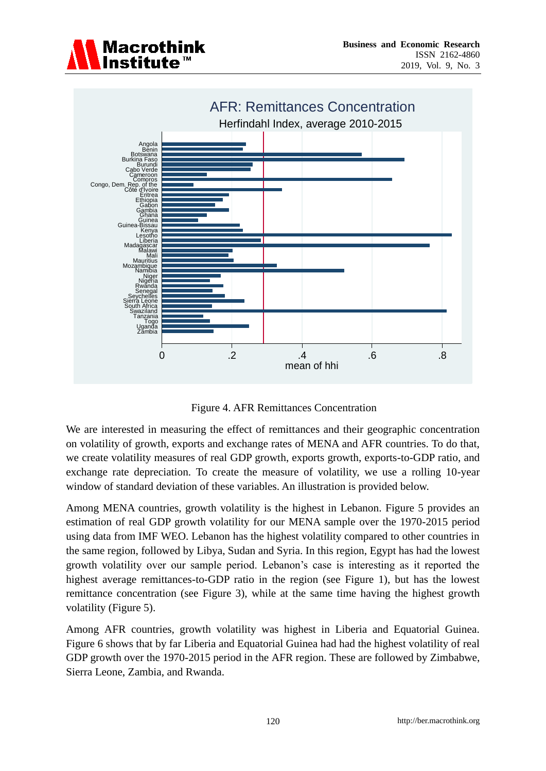



Figure 4. AFR Remittances Concentration

We are interested in measuring the effect of remittances and their geographic concentration on volatility of growth, exports and exchange rates of MENA and AFR countries. To do that, we create volatility measures of real GDP growth, exports growth, exports-to-GDP ratio, and exchange rate depreciation. To create the measure of volatility, we use a rolling 10-year window of standard deviation of these variables. An illustration is provided below.

Among MENA countries, growth volatility is the highest in Lebanon. Figure 5 provides an estimation of real GDP growth volatility for our MENA sample over the 1970-2015 period using data from IMF WEO. Lebanon has the highest volatility compared to other countries in the same region, followed by Libya, Sudan and Syria. In this region, Egypt has had the lowest growth volatility over our sample period. Lebanon's case is interesting as it reported the highest average remittances-to-GDP ratio in the region (see Figure 1), but has the lowest remittance concentration (see Figure 3), while at the same time having the highest growth volatility (Figure 5).

Among AFR countries, growth volatility was highest in Liberia and Equatorial Guinea. Figure 6 shows that by far Liberia and Equatorial Guinea had had the highest volatility of real GDP growth over the 1970-2015 period in the AFR region. These are followed by Zimbabwe, Sierra Leone, Zambia, and Rwanda.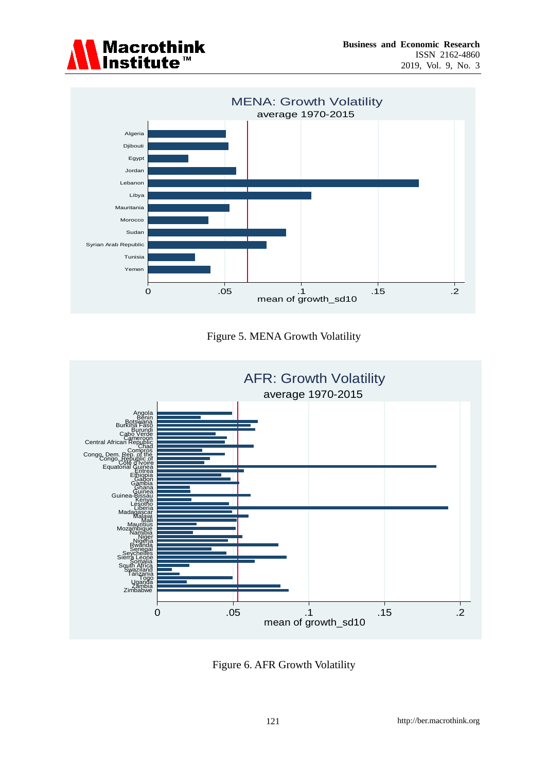







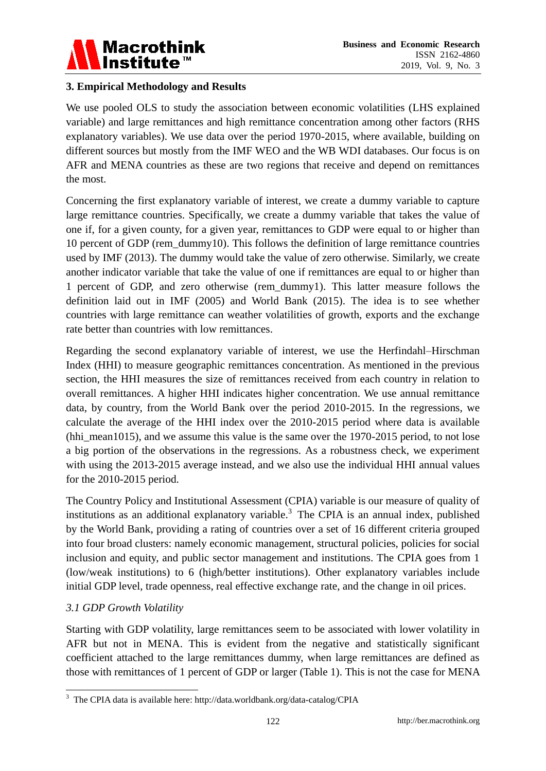

### **3. Empirical Methodology and Results**

We use pooled OLS to study the association between economic volatilities (LHS explained variable) and large remittances and high remittance concentration among other factors (RHS explanatory variables). We use data over the period 1970-2015, where available, building on different sources but mostly from the IMF WEO and the WB WDI databases. Our focus is on AFR and MENA countries as these are two regions that receive and depend on remittances the most.

Concerning the first explanatory variable of interest, we create a dummy variable to capture large remittance countries. Specifically, we create a dummy variable that takes the value of one if, for a given county, for a given year, remittances to GDP were equal to or higher than 10 percent of GDP (rem\_dummy10). This follows the definition of large remittance countries used by IMF (2013). The dummy would take the value of zero otherwise. Similarly, we create another indicator variable that take the value of one if remittances are equal to or higher than 1 percent of GDP, and zero otherwise (rem\_dummy1). This latter measure follows the definition laid out in IMF (2005) and World Bank (2015). The idea is to see whether countries with large remittance can weather volatilities of growth, exports and the exchange rate better than countries with low remittances.

Regarding the second explanatory variable of interest, we use the Herfindahl–Hirschman Index (HHI) to measure geographic remittances concentration. As mentioned in the previous section, the HHI measures the size of remittances received from each country in relation to overall remittances. A higher HHI indicates higher concentration. We use annual remittance data, by country, from the World Bank over the period 2010-2015. In the regressions, we calculate the average of the HHI index over the 2010-2015 period where data is available (hhi\_mean1015), and we assume this value is the same over the  $1970-2015$  period, to not lose a big portion of the observations in the regressions. As a robustness check, we experiment with using the 2013-2015 average instead, and we also use the individual HHI annual values for the 2010-2015 period.

The Country Policy and Institutional Assessment (CPIA) variable is our measure of quality of institutions as an additional explanatory variable.<sup>3</sup> The CPIA is an annual index, published by the World Bank, providing a rating of countries over a set of 16 different criteria grouped into four broad clusters: namely economic management, structural policies, policies for social inclusion and equity, and public sector management and institutions. The CPIA goes from 1 (low/weak institutions) to 6 (high/better institutions). Other explanatory variables include initial GDP level, trade openness, real effective exchange rate, and the change in oil prices.

#### *3.1 GDP Growth Volatility*

<u>.</u>

Starting with GDP volatility, large remittances seem to be associated with lower volatility in AFR but not in MENA. This is evident from the negative and statistically significant coefficient attached to the large remittances dummy, when large remittances are defined as those with remittances of 1 percent of GDP or larger (Table 1). This is not the case for MENA

<sup>3</sup> The CPIA data is available here: http://data.worldbank.org/data-catalog/CPIA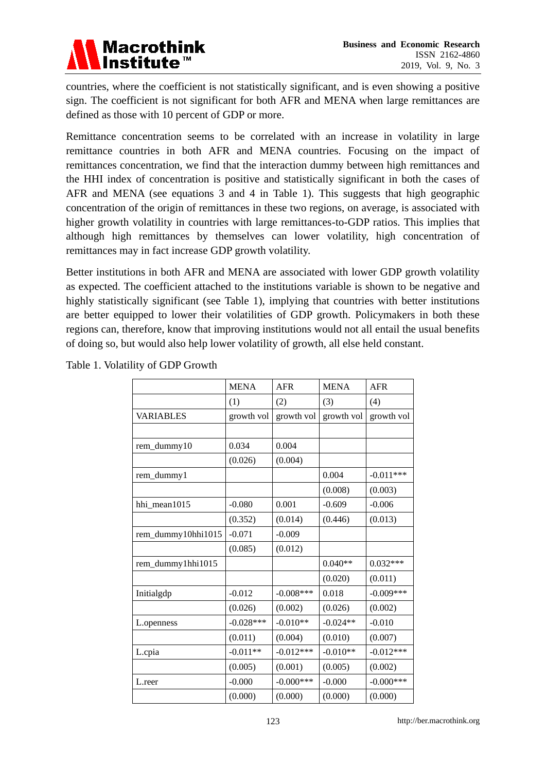

countries, where the coefficient is not statistically significant, and is even showing a positive sign. The coefficient is not significant for both AFR and MENA when large remittances are defined as those with 10 percent of GDP or more.

Remittance concentration seems to be correlated with an increase in volatility in large remittance countries in both AFR and MENA countries. Focusing on the impact of remittances concentration, we find that the interaction dummy between high remittances and the HHI index of concentration is positive and statistically significant in both the cases of AFR and MENA (see equations 3 and 4 in Table 1). This suggests that high geographic concentration of the origin of remittances in these two regions, on average, is associated with higher growth volatility in countries with large remittances-to-GDP ratios. This implies that although high remittances by themselves can lower volatility, high concentration of remittances may in fact increase GDP growth volatility.

Better institutions in both AFR and MENA are associated with lower GDP growth volatility as expected. The coefficient attached to the institutions variable is shown to be negative and highly statistically significant (see Table 1), implying that countries with better institutions are better equipped to lower their volatilities of GDP growth. Policymakers in both these regions can, therefore, know that improving institutions would not all entail the usual benefits of doing so, but would also help lower volatility of growth, all else held constant.

|                    | <b>MENA</b> | <b>AFR</b>   | <b>MENA</b> | <b>AFR</b>   |
|--------------------|-------------|--------------|-------------|--------------|
|                    | (1)         | (2)          | (3)         | (4)          |
| <b>VARIABLES</b>   | growth vol  | growth vol   | growth vol  | growth vol   |
|                    |             |              |             |              |
| rem_dummy10        | 0.034       | 0.004        |             |              |
|                    | (0.026)     | (0.004)      |             |              |
| rem_dummy1         |             |              | 0.004       | $-0.011***$  |
|                    |             |              | (0.008)     | (0.003)      |
| hhi mean1015       | $-0.080$    | 0.001        | $-0.609$    | $-0.006$     |
|                    | (0.352)     | (0.014)      | (0.446)     | (0.013)      |
| rem_dummy10hhi1015 | $-0.071$    | $-0.009$     |             |              |
|                    | (0.085)     | (0.012)      |             |              |
| rem_dummy1hhi1015  |             |              | $0.040**$   | $0.032***$   |
|                    |             |              | (0.020)     | (0.011)      |
| Initialgdp         | $-0.012$    | $-0.008$ *** | 0.018       | $-0.009***$  |
|                    | (0.026)     | (0.002)      | (0.026)     | (0.002)      |
| L.openness         | $-0.028***$ | $-0.010**$   | $-0.024**$  | $-0.010$     |
|                    | (0.011)     | (0.004)      | (0.010)     | (0.007)      |
| L.cpia             | $-0.011**$  | $-0.012***$  | $-0.010**$  | $-0.012***$  |
|                    | (0.005)     | (0.001)      | (0.005)     | (0.002)      |
| L.reer             | $-0.000$    | $-0.000$ *** | $-0.000$    | $-0.000$ *** |
|                    | (0.000)     | (0.000)      | (0.000)     | (0.000)      |

Table 1. Volatility of GDP Growth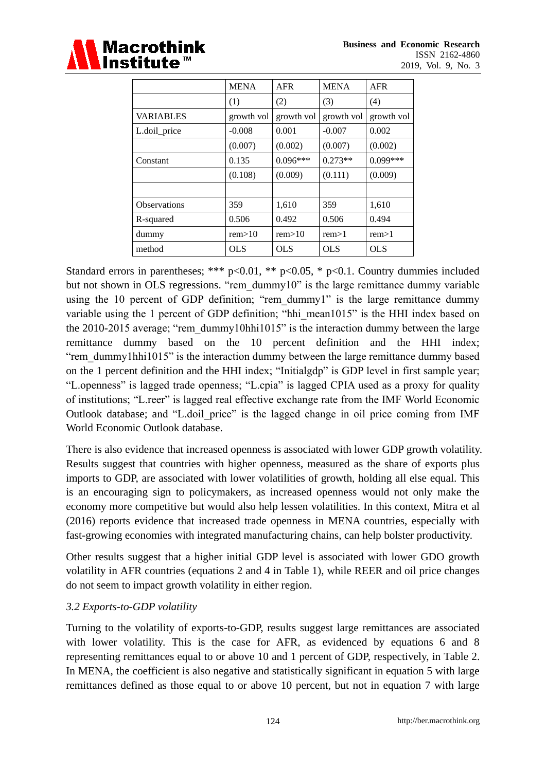

|                     | <b>MENA</b> | <b>AFR</b> | <b>MENA</b> | <b>AFR</b> |
|---------------------|-------------|------------|-------------|------------|
|                     | (1)         | (2)        | (3)         | (4)        |
| <b>VARIABLES</b>    | growth vol  | growth vol | growth vol  | growth vol |
| L.doil_price        | $-0.008$    | 0.001      | $-0.007$    | 0.002      |
|                     | (0.007)     | (0.002)    | (0.007)     | (0.002)    |
| Constant            | 0.135       | $0.096***$ | $0.273**$   | $0.099***$ |
|                     | (0.108)     | (0.009)    | (0.111)     | (0.009)    |
|                     |             |            |             |            |
| <b>Observations</b> | 359         | 1,610      | 359         | 1,610      |
| R-squared           | 0.506       | 0.492      | 0.506       | 0.494      |
| dummy               | rem>10      | rem>10     | rem>1       | rem>1      |
| method              | <b>OLS</b>  | <b>OLS</b> | <b>OLS</b>  | <b>OLS</b> |

Standard errors in parentheses; \*\*\*  $p<0.01$ , \*\*  $p<0.05$ , \*  $p<0.1$ . Country dummies included but not shown in OLS regressions. "rem\_dummy10" is the large remittance dummy variable using the 10 percent of GDP definition; "rem\_dummy1" is the large remittance dummy variable using the 1 percent of GDP definition; "hhi\_mean1015" is the HHI index based on the 2010-2015 average; "rem\_dummy10hhi1015" is the interaction dummy between the large remittance dummy based on the 10 percent definition and the HHI index; "rem\_dummy1hhi1015" is the interaction dummy between the large remittance dummy based on the 1 percent definition and the HHI index; "Initialgdp" is GDP level in first sample year; "L.openness" is lagged trade openness; "L.cpia" is lagged CPIA used as a proxy for quality of institutions; "L.reer" is lagged real effective exchange rate from the IMF World Economic Outlook database; and "L.doil\_price" is the lagged change in oil price coming from IMF World Economic Outlook database.

There is also evidence that increased openness is associated with lower GDP growth volatility. Results suggest that countries with higher openness, measured as the share of exports plus imports to GDP, are associated with lower volatilities of growth, holding all else equal. This is an encouraging sign to policymakers, as increased openness would not only make the economy more competitive but would also help lessen volatilities. In this context, Mitra et al (2016) reports evidence that increased trade openness in MENA countries, especially with fast-growing economies with integrated manufacturing chains, can help bolster productivity.

Other results suggest that a higher initial GDP level is associated with lower GDO growth volatility in AFR countries (equations 2 and 4 in Table 1), while REER and oil price changes do not seem to impact growth volatility in either region.

#### *3.2 Exports-to-GDP volatility*

Turning to the volatility of exports-to-GDP, results suggest large remittances are associated with lower volatility. This is the case for AFR, as evidenced by equations 6 and 8 representing remittances equal to or above 10 and 1 percent of GDP, respectively, in Table 2. In MENA, the coefficient is also negative and statistically significant in equation 5 with large remittances defined as those equal to or above 10 percent, but not in equation 7 with large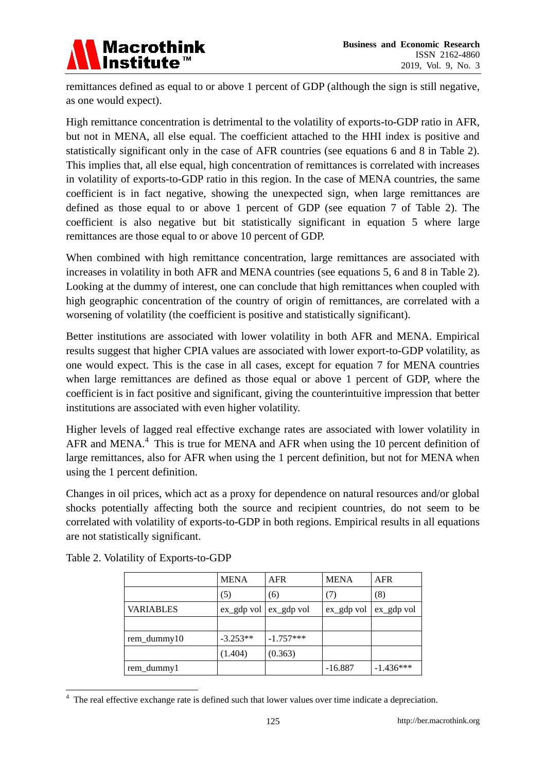

remittances defined as equal to or above 1 percent of GDP (although the sign is still negative, as one would expect).

High remittance concentration is detrimental to the volatility of exports-to-GDP ratio in AFR, but not in MENA, all else equal. The coefficient attached to the HHI index is positive and statistically significant only in the case of AFR countries (see equations 6 and 8 in Table 2). This implies that, all else equal, high concentration of remittances is correlated with increases in volatility of exports-to-GDP ratio in this region. In the case of MENA countries, the same coefficient is in fact negative, showing the unexpected sign, when large remittances are defined as those equal to or above 1 percent of GDP (see equation 7 of Table 2). The coefficient is also negative but bit statistically significant in equation 5 where large remittances are those equal to or above 10 percent of GDP.

When combined with high remittance concentration, large remittances are associated with increases in volatility in both AFR and MENA countries (see equations 5, 6 and 8 in Table 2). Looking at the dummy of interest, one can conclude that high remittances when coupled with high geographic concentration of the country of origin of remittances, are correlated with a worsening of volatility (the coefficient is positive and statistically significant).

Better institutions are associated with lower volatility in both AFR and MENA. Empirical results suggest that higher CPIA values are associated with lower export-to-GDP volatility, as one would expect. This is the case in all cases, except for equation 7 for MENA countries when large remittances are defined as those equal or above 1 percent of GDP, where the coefficient is in fact positive and significant, giving the counterintuitive impression that better institutions are associated with even higher volatility.

Higher levels of lagged real effective exchange rates are associated with lower volatility in AFR and MENA. $4$  This is true for MENA and AFR when using the 10 percent definition of large remittances, also for AFR when using the 1 percent definition, but not for MENA when using the 1 percent definition.

Changes in oil prices, which act as a proxy for dependence on natural resources and/or global shocks potentially affecting both the source and recipient countries, do not seem to be correlated with volatility of exports-to-GDP in both regions. Empirical results in all equations are not statistically significant.

|                  | <b>MENA</b>                 | <b>AFR</b>  | <b>MENA</b> | <b>AFR</b>  |
|------------------|-----------------------------|-------------|-------------|-------------|
|                  | (5)                         | (6)         | (7)         | (8)         |
| <b>VARIABLES</b> | $ex\_gdp$ vol $ex\_gdp$ vol |             | ex_gdp vol  | ex_gdp vol  |
|                  |                             |             |             |             |
| rem_dummy10      | $-3.253**$                  | $-1.757***$ |             |             |
|                  | (1.404)                     | (0.363)     |             |             |
| rem_dummy1       |                             |             | $-16.887$   | $-1.436***$ |

Table 2. Volatility of Exports-to-GDP

<u>.</u>

 $4\,$  The real effective exchange rate is defined such that lower values over time indicate a depreciation.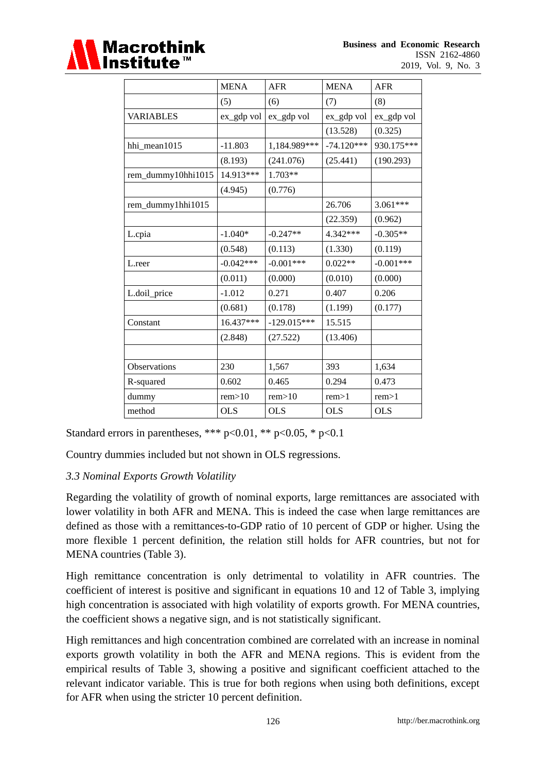

|                    | <b>MENA</b> | <b>AFR</b>    | <b>MENA</b>  | <b>AFR</b>  |
|--------------------|-------------|---------------|--------------|-------------|
|                    | (5)         | (6)           | (7)          | (8)         |
| <b>VARIABLES</b>   | ex_gdp vol  | ex_gdp vol    | ex_gdp vol   | ex_gdp vol  |
|                    |             |               | (13.528)     | (0.325)     |
| hhi mean1015       | $-11.803$   | 1,184.989***  | $-74.120***$ | 930.175***  |
|                    | (8.193)     | (241.076)     | (25.441)     | (190.293)   |
| rem_dummy10hhi1015 | 14.913***   | $1.703**$     |              |             |
|                    | (4.945)     | (0.776)       |              |             |
| rem_dummy1hhi1015  |             |               | 26.706       | $3.061***$  |
|                    |             |               | (22.359)     | (0.962)     |
| L.cpia             | $-1.040*$   | $-0.247**$    | 4.342***     | $-0.305**$  |
|                    | (0.548)     | (0.113)       | (1.330)      | (0.119)     |
| L.reer             | $-0.042***$ | $-0.001***$   | $0.022**$    | $-0.001***$ |
|                    | (0.011)     | (0.000)       | (0.010)      | (0.000)     |
| L.doil_price       | $-1.012$    | 0.271         | 0.407        | 0.206       |
|                    | (0.681)     | (0.178)       | (1.199)      | (0.177)     |
| Constant           | 16.437***   | $-129.015***$ | 15.515       |             |
|                    | (2.848)     | (27.522)      | (13.406)     |             |
|                    |             |               |              |             |
| Observations       | 230         | 1,567         | 393          | 1,634       |
| R-squared          | 0.602       | 0.465         | 0.294        | 0.473       |
| dummy              | rem>10      | rem>10        | rem>1        | rem>1       |
| method             | <b>OLS</b>  | <b>OLS</b>    | <b>OLS</b>   | <b>OLS</b>  |

Standard errors in parentheses, \*\*\*  $p<0.01$ , \*\*  $p<0.05$ , \*  $p<0.1$ 

Country dummies included but not shown in OLS regressions.

#### *3.3 Nominal Exports Growth Volatility*

Regarding the volatility of growth of nominal exports, large remittances are associated with lower volatility in both AFR and MENA. This is indeed the case when large remittances are defined as those with a remittances-to-GDP ratio of 10 percent of GDP or higher. Using the more flexible 1 percent definition, the relation still holds for AFR countries, but not for MENA countries (Table 3).

High remittance concentration is only detrimental to volatility in AFR countries. The coefficient of interest is positive and significant in equations 10 and 12 of Table 3, implying high concentration is associated with high volatility of exports growth. For MENA countries, the coefficient shows a negative sign, and is not statistically significant.

High remittances and high concentration combined are correlated with an increase in nominal exports growth volatility in both the AFR and MENA regions. This is evident from the empirical results of Table 3, showing a positive and significant coefficient attached to the relevant indicator variable. This is true for both regions when using both definitions, except for AFR when using the stricter 10 percent definition.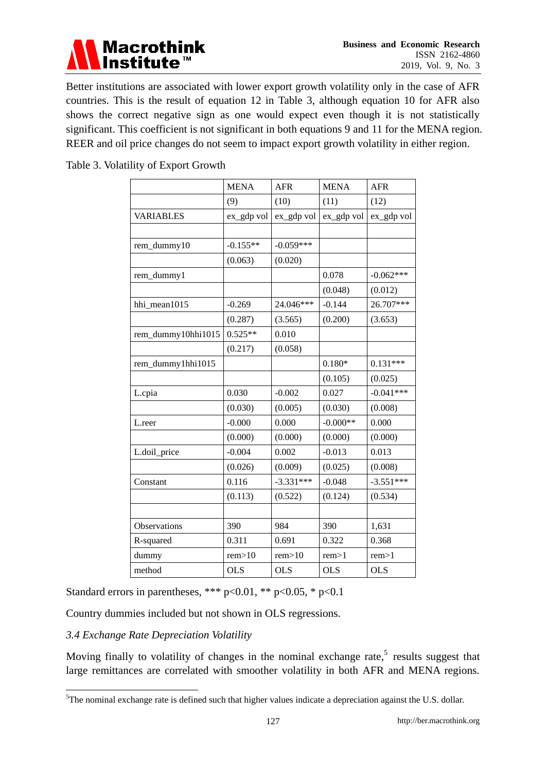

Better institutions are associated with lower export growth volatility only in the case of AFR countries. This is the result of equation 12 in Table 3, although equation 10 for AFR also shows the correct negative sign as one would expect even though it is not statistically significant. This coefficient is not significant in both equations 9 and 11 for the MENA region. REER and oil price changes do not seem to impact export growth volatility in either region.

Table 3. Volatility of Export Growth

|                    | <b>MENA</b> | <b>AFR</b>  | <b>MENA</b> | <b>AFR</b>  |
|--------------------|-------------|-------------|-------------|-------------|
|                    | (9)         | (10)        | (11)        | (12)        |
| <b>VARIABLES</b>   | ex_gdp vol  | ex_gdp vol  | ex_gdp vol  | ex_gdp vol  |
|                    |             |             |             |             |
| rem_dummy10        | $-0.155**$  | $-0.059***$ |             |             |
|                    | (0.063)     | (0.020)     |             |             |
| rem_dummy1         |             |             | 0.078       | $-0.062***$ |
|                    |             |             | (0.048)     | (0.012)     |
| hhi_mean1015       | $-0.269$    | 24.046***   | $-0.144$    | 26.707***   |
|                    | (0.287)     | (3.565)     | (0.200)     | (3.653)     |
| rem_dummy10hhi1015 | $0.525**$   | 0.010       |             |             |
|                    | (0.217)     | (0.058)     |             |             |
| rem_dummy1hhi1015  |             |             | $0.180*$    | $0.131***$  |
|                    |             |             | (0.105)     | (0.025)     |
| L.cpia             | 0.030       | $-0.002$    | 0.027       | $-0.041***$ |
|                    | (0.030)     | (0.005)     | (0.030)     | (0.008)     |
| L.reer             | $-0.000$    | 0.000       | $-0.000**$  | 0.000       |
|                    | (0.000)     | (0.000)     | (0.000)     | (0.000)     |
| L.doil_price       | $-0.004$    | 0.002       | $-0.013$    | 0.013       |
|                    | (0.026)     | (0.009)     | (0.025)     | (0.008)     |
| Constant           | 0.116       | $-3.331***$ | $-0.048$    | $-3.551***$ |
|                    | (0.113)     | (0.522)     | (0.124)     | (0.534)     |
|                    |             |             |             |             |
| Observations       | 390         | 984         | 390         | 1,631       |
| R-squared          | 0.311       | 0.691       | 0.322       | 0.368       |
| dummy              | rem>10      | rem>10      | rem>1       | rem>1       |
| method             | <b>OLS</b>  | <b>OLS</b>  | <b>OLS</b>  | <b>OLS</b>  |

Standard errors in parentheses, \*\*\*  $p<0.01$ , \*\*  $p<0.05$ , \*  $p<0.1$ 

Country dummies included but not shown in OLS regressions.

#### *3.4 Exchange Rate Depreciation Volatility*

<u>.</u>

Moving finally to volatility of changes in the nominal exchange rate, $5$  results suggest that large remittances are correlated with smoother volatility in both AFR and MENA regions.

<sup>&</sup>lt;sup>5</sup>The nominal exchange rate is defined such that higher values indicate a depreciation against the U.S. dollar.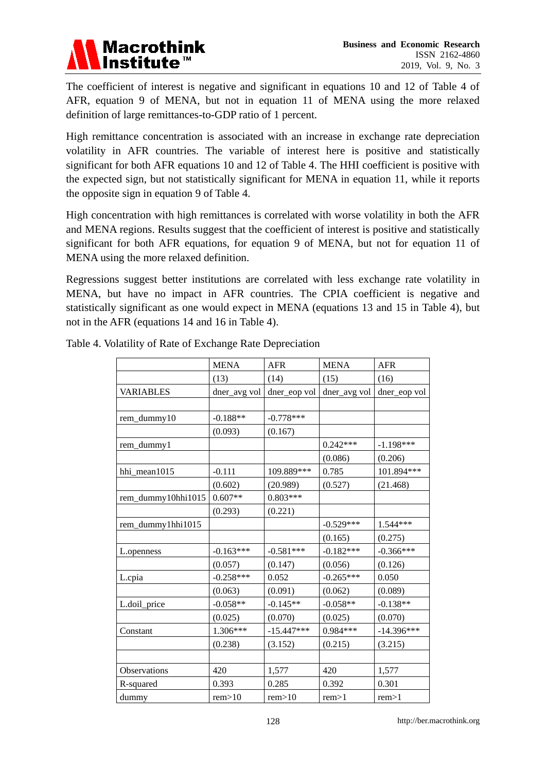

The coefficient of interest is negative and significant in equations 10 and 12 of Table 4 of AFR, equation 9 of MENA, but not in equation 11 of MENA using the more relaxed definition of large remittances-to-GDP ratio of 1 percent.

High remittance concentration is associated with an increase in exchange rate depreciation volatility in AFR countries. The variable of interest here is positive and statistically significant for both AFR equations 10 and 12 of Table 4. The HHI coefficient is positive with the expected sign, but not statistically significant for MENA in equation 11, while it reports the opposite sign in equation 9 of Table 4.

High concentration with high remittances is correlated with worse volatility in both the AFR and MENA regions. Results suggest that the coefficient of interest is positive and statistically significant for both AFR equations, for equation 9 of MENA, but not for equation 11 of MENA using the more relaxed definition.

Regressions suggest better institutions are correlated with less exchange rate volatility in MENA, but have no impact in AFR countries. The CPIA coefficient is negative and statistically significant as one would expect in MENA (equations 13 and 15 in Table 4), but not in the AFR (equations 14 and 16 in Table 4).

|                    | <b>MENA</b>  | <b>AFR</b>   | <b>MENA</b>  | <b>AFR</b>   |
|--------------------|--------------|--------------|--------------|--------------|
|                    | (13)         | (14)         | (15)         | (16)         |
| VARIABLES          | dner_avg vol | dner_eop vol | dner_avg vol | dner_eop vol |
|                    |              |              |              |              |
| rem_dummy10        | $-0.188**$   | $-0.778***$  |              |              |
|                    | (0.093)      | (0.167)      |              |              |
| rem_dummy1         |              |              | $0.242***$   | $-1.198***$  |
|                    |              |              | (0.086)      | (0.206)      |
| hhi_mean1015       | $-0.111$     | 109.889***   | 0.785        | 101.894***   |
|                    | (0.602)      | (20.989)     | (0.527)      | (21.468)     |
| rem_dummy10hhi1015 | $0.607**$    | $0.803***$   |              |              |
|                    | (0.293)      | (0.221)      |              |              |
| rem_dummy1hhi1015  |              |              | $-0.529***$  | 1.544***     |
|                    |              |              | (0.165)      | (0.275)      |
| L.openness         | $-0.163***$  | $-0.581***$  | $-0.182***$  | $-0.366***$  |
|                    | (0.057)      | (0.147)      | (0.056)      | (0.126)      |
| L.cpia             | $-0.258***$  | 0.052        | $-0.265***$  | 0.050        |
|                    | (0.063)      | (0.091)      | (0.062)      | (0.089)      |
| L.doil_price       | $-0.058**$   | $-0.145**$   | $-0.058**$   | $-0.138**$   |
|                    | (0.025)      | (0.070)      | (0.025)      | (0.070)      |
| Constant           | $1.306***$   | $-15.447***$ | $0.984***$   | $-14.396***$ |
|                    | (0.238)      | (3.152)      | (0.215)      | (3.215)      |
|                    |              |              |              |              |
| Observations       | 420          | 1,577        | 420          | 1,577        |
| R-squared          | 0.393        | 0.285        | 0.392        | 0.301        |
| dummy              | rem>10       | rem>10       | rem>1        | rem>1        |

Table 4. Volatility of Rate of Exchange Rate Depreciation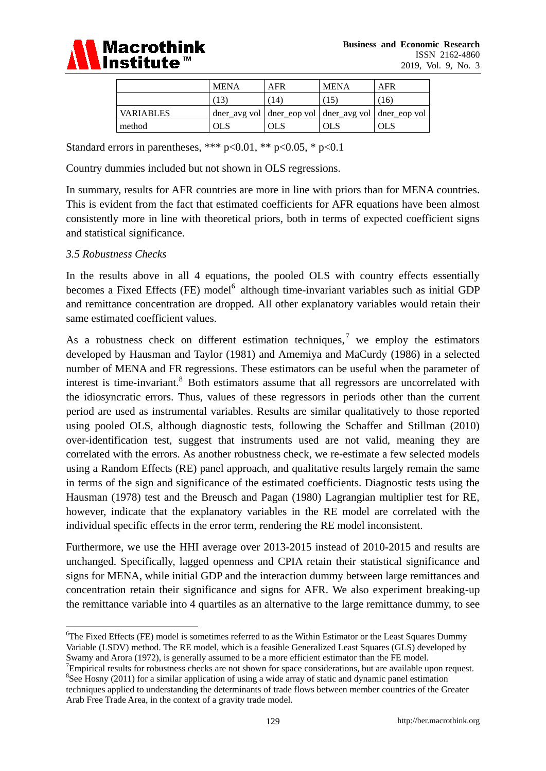

|                  | <b>MENA</b> | AFR                                                       | <b>MENA</b> | AFR  |
|------------------|-------------|-----------------------------------------------------------|-------------|------|
|                  |             | 14                                                        |             | (16) |
| <b>VARIABLES</b> |             | dner_avg vol   dner_eop vol   dner_avg vol   dner_eop vol |             |      |
| method           | OLS         | <b>OLS</b>                                                | OLS         | OLS  |

Standard errors in parentheses, \*\*\*  $p<0.01$ , \*\*  $p<0.05$ , \*  $p<0.1$ 

Country dummies included but not shown in OLS regressions.

In summary, results for AFR countries are more in line with priors than for MENA countries. This is evident from the fact that estimated coefficients for AFR equations have been almost consistently more in line with theoretical priors, both in terms of expected coefficient signs and statistical significance.

#### *3.5 Robustness Checks*

In the results above in all 4 equations, the pooled OLS with country effects essentially becomes a Fixed Effects (FE) model<sup>6</sup> although time-invariant variables such as initial GDP and remittance concentration are dropped. All other explanatory variables would retain their same estimated coefficient values.

As a robustness check on different estimation techniques,<sup>7</sup> we employ the estimators developed by Hausman and Taylor (1981) and Amemiya and MaCurdy (1986) in a selected number of MENA and FR regressions. These estimators can be useful when the parameter of interest is time-invariant.<sup>8</sup> Both estimators assume that all regressors are uncorrelated with the idiosyncratic errors. Thus, values of these regressors in periods other than the current period are used as instrumental variables. Results are similar qualitatively to those reported using pooled OLS, although diagnostic tests, following the Schaffer and Stillman (2010) over-identification test, suggest that instruments used are not valid, meaning they are correlated with the errors. As another robustness check, we re-estimate a few selected models using a Random Effects (RE) panel approach, and qualitative results largely remain the same in terms of the sign and significance of the estimated coefficients. Diagnostic tests using the Hausman (1978) test and the Breusch and Pagan (1980) Lagrangian multiplier test for RE, however, indicate that the explanatory variables in the RE model are correlated with the individual specific effects in the error term, rendering the RE model inconsistent.

Furthermore, we use the HHI average over 2013-2015 instead of 2010-2015 and results are unchanged. Specifically, lagged openness and CPIA retain their statistical significance and signs for MENA, while initial GDP and the interaction dummy between large remittances and concentration retain their significance and signs for AFR. We also experiment breaking-up the remittance variable into 4 quartiles as an alternative to the large remittance dummy, to see

<u>.</u> <sup>6</sup>The Fixed Effects (FE) model is sometimes referred to as the Within Estimator or the Least Squares Dummy Variable (LSDV) method. The RE model, which is a feasible Generalized Least Squares (GLS) developed by Swamy and Arora (1972), is generally assumed to be a more efficient estimator than the FE model.

 $7$ Empirical results for robustness checks are not shown for space considerations, but are available upon request. <sup>8</sup>See Hosny (2011) for a similar application of using a wide array of static and dynamic panel estimation techniques applied to understanding the determinants of trade flows between member countries of the Greater Arab Free Trade Area, in the context of a gravity trade model.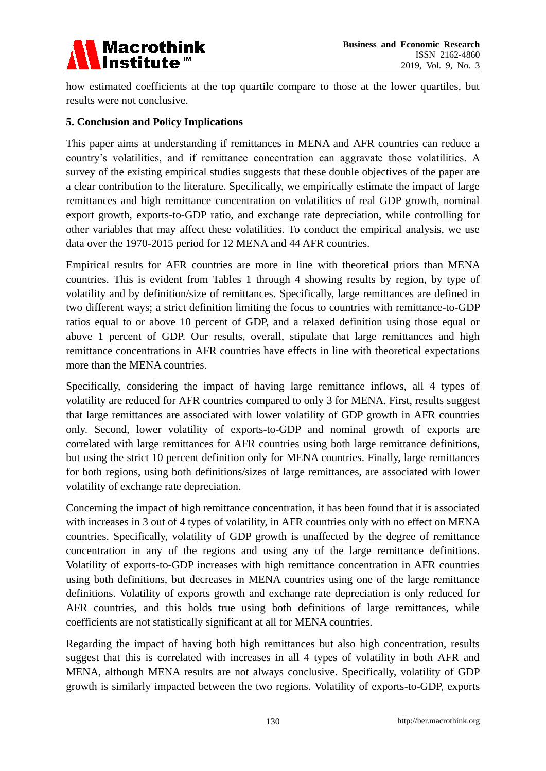

how estimated coefficients at the top quartile compare to those at the lower quartiles, but results were not conclusive.

#### **5. Conclusion and Policy Implications**

This paper aims at understanding if remittances in MENA and AFR countries can reduce a country's volatilities, and if remittance concentration can aggravate those volatilities. A survey of the existing empirical studies suggests that these double objectives of the paper are a clear contribution to the literature. Specifically, we empirically estimate the impact of large remittances and high remittance concentration on volatilities of real GDP growth, nominal export growth, exports-to-GDP ratio, and exchange rate depreciation, while controlling for other variables that may affect these volatilities. To conduct the empirical analysis, we use data over the 1970-2015 period for 12 MENA and 44 AFR countries.

Empirical results for AFR countries are more in line with theoretical priors than MENA countries. This is evident from Tables 1 through 4 showing results by region, by type of volatility and by definition/size of remittances. Specifically, large remittances are defined in two different ways; a strict definition limiting the focus to countries with remittance-to-GDP ratios equal to or above 10 percent of GDP, and a relaxed definition using those equal or above 1 percent of GDP. Our results, overall, stipulate that large remittances and high remittance concentrations in AFR countries have effects in line with theoretical expectations more than the MENA countries.

Specifically, considering the impact of having large remittance inflows, all 4 types of volatility are reduced for AFR countries compared to only 3 for MENA. First, results suggest that large remittances are associated with lower volatility of GDP growth in AFR countries only. Second, lower volatility of exports-to-GDP and nominal growth of exports are correlated with large remittances for AFR countries using both large remittance definitions, but using the strict 10 percent definition only for MENA countries. Finally, large remittances for both regions, using both definitions/sizes of large remittances, are associated with lower volatility of exchange rate depreciation.

Concerning the impact of high remittance concentration, it has been found that it is associated with increases in 3 out of 4 types of volatility, in AFR countries only with no effect on MENA countries. Specifically, volatility of GDP growth is unaffected by the degree of remittance concentration in any of the regions and using any of the large remittance definitions. Volatility of exports-to-GDP increases with high remittance concentration in AFR countries using both definitions, but decreases in MENA countries using one of the large remittance definitions. Volatility of exports growth and exchange rate depreciation is only reduced for AFR countries, and this holds true using both definitions of large remittances, while coefficients are not statistically significant at all for MENA countries.

Regarding the impact of having both high remittances but also high concentration, results suggest that this is correlated with increases in all 4 types of volatility in both AFR and MENA, although MENA results are not always conclusive. Specifically, volatility of GDP growth is similarly impacted between the two regions. Volatility of exports-to-GDP, exports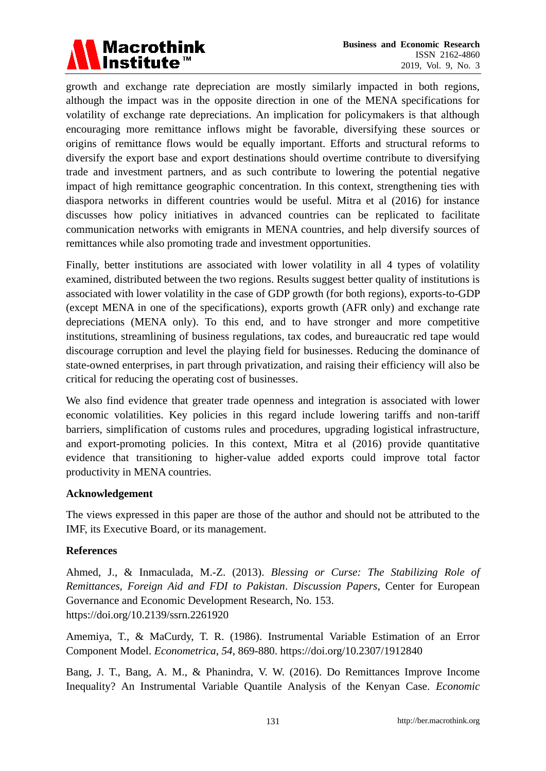

growth and exchange rate depreciation are mostly similarly impacted in both regions, although the impact was in the opposite direction in one of the MENA specifications for volatility of exchange rate depreciations. An implication for policymakers is that although encouraging more remittance inflows might be favorable, diversifying these sources or origins of remittance flows would be equally important. Efforts and structural reforms to diversify the export base and export destinations should overtime contribute to diversifying trade and investment partners, and as such contribute to lowering the potential negative impact of high remittance geographic concentration. In this context, strengthening ties with diaspora networks in different countries would be useful. Mitra et al (2016) for instance discusses how policy initiatives in advanced countries can be replicated to facilitate communication networks with emigrants in MENA countries, and help diversify sources of remittances while also promoting trade and investment opportunities.

Finally, better institutions are associated with lower volatility in all 4 types of volatility examined, distributed between the two regions. Results suggest better quality of institutions is associated with lower volatility in the case of GDP growth (for both regions), exports-to-GDP (except MENA in one of the specifications), exports growth (AFR only) and exchange rate depreciations (MENA only). To this end, and to have stronger and more competitive institutions, streamlining of business regulations, tax codes, and bureaucratic red tape would discourage corruption and level the playing field for businesses. Reducing the dominance of state-owned enterprises, in part through privatization, and raising their efficiency will also be critical for reducing the operating cost of businesses.

We also find evidence that greater trade openness and integration is associated with lower economic volatilities. Key policies in this regard include lowering tariffs and non-tariff barriers, simplification of customs rules and procedures, upgrading logistical infrastructure, and export-promoting policies. In this context, Mitra et al (2016) provide quantitative evidence that transitioning to higher-value added exports could improve total factor productivity in MENA countries.

#### **Acknowledgement**

The views expressed in this paper are those of the author and should not be attributed to the IMF, its Executive Board, or its management.

#### **References**

Ahmed, J., & Inmaculada, M.-Z. (2013). *Blessing or Curse: The Stabilizing Role of Remittances, Foreign Aid and FDI to Pakistan*. *Discussion Papers*, Center for European Governance and Economic Development Research, No. 153. https://doi.org/10.2139/ssrn.2261920

Amemiya, T., & MaCurdy, T. R. (1986). Instrumental Variable Estimation of an Error Component Model. *Econometrica, 54*, 869-880. https://doi.org/10.2307/1912840

Bang, J. T., Bang, A. M., & Phanindra, V. W. (2016). Do Remittances Improve Income Inequality? An Instrumental Variable Quantile Analysis of the Kenyan Case. *Economic*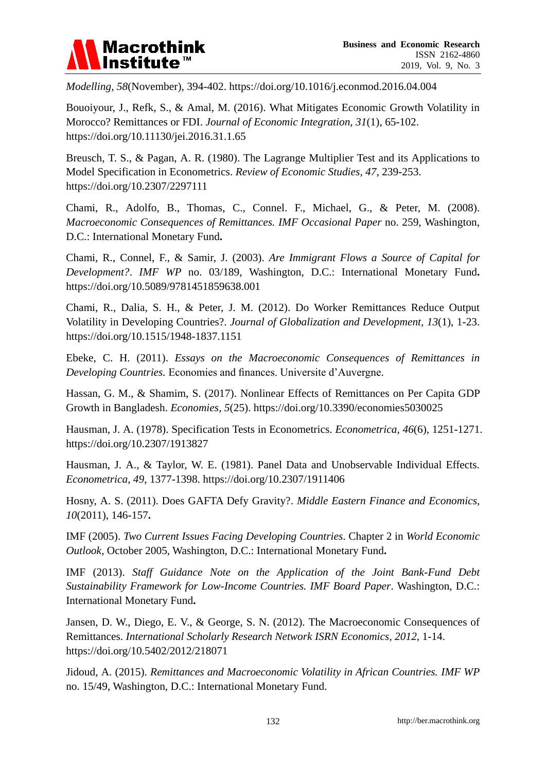

*Modelling, 58*(November), 394-402. https://doi.org/10.1016/j.econmod.2016.04.004

Bouoiyour, J., Refk, S., & Amal, M. (2016). What Mitigates Economic Growth Volatility in Morocco? Remittances or FDI. *Journal of Economic Integration, 31*(1), 65-102. https://doi.org/10.11130/jei.2016.31.1.65

Breusch, T. S., & Pagan, A. R. (1980). The Lagrange Multiplier Test and its Applications to Model Specification in Econometrics. *Review of Economic Studies, 47*, 239-253. https://doi.org/10.2307/2297111

Chami, R., Adolfo, B., Thomas, C., Connel. F., Michael, G., & Peter, M. (2008). *Macroeconomic Consequences of Remittances. IMF Occasional Paper* no. 259, Washington, D.C.: International Monetary Fund**.**

Chami, R., Connel, F., & Samir, J. (2003). *Are Immigrant Flows a Source of Capital for Development?*. *IMF WP* no. 03/189, Washington, D.C.: International Monetary Fund**.** https://doi.org/10.5089/9781451859638.001

Chami, R., Dalia, S. H., & Peter, J. M. (2012). Do Worker Remittances Reduce Output Volatility in Developing Countries?. *Journal of Globalization and Development, 13*(1), 1-23. https://doi.org/10.1515/1948-1837.1151

Ebeke, C. H. (2011). *Essays on the Macroeconomic Consequences of Remittances in Developing Countries.* Economies and finances. Universite d'Auvergne.

Hassan, G. M., & Shamim, S. (2017). Nonlinear Effects of Remittances on Per Capita GDP Growth in Bangladesh. *Economies, 5*(25). https://doi.org/10.3390/economies5030025

Hausman, J. A. (1978). Specification Tests in Econometrics. *Econometrica, 46*(6), 1251-1271. https://doi.org/10.2307/1913827

Hausman, J. A., & Taylor, W. E. (1981). Panel Data and Unobservable Individual Effects. *Econometrica, 49*, 1377-1398. https://doi.org/10.2307/1911406

Hosny, A. S. (2011). Does GAFTA Defy Gravity?. *Middle Eastern Finance and Economics, 10*(2011), 146-157**.**

IMF (2005). *Two Current Issues Facing Developing Countries*. Chapter 2 in *World Economic Outlook*, October 2005, Washington, D.C.: International Monetary Fund**.**

IMF (2013). *Staff Guidance Note on the Application of the Joint Bank-Fund Debt Sustainability Framework for Low-Income Countries. IMF Board Paper*. Washington, D.C.: International Monetary Fund**.**

Jansen, D. W., Diego, E. V., & George, S. N. (2012). The Macroeconomic Consequences of Remittances. *International Scholarly Research Network ISRN Economics, 2012*, 1-14. https://doi.org/10.5402/2012/218071

Jidoud, A. (2015). *Remittances and Macroeconomic Volatility in African Countries. IMF WP* no. 15/49, Washington, D.C.: International Monetary Fund.